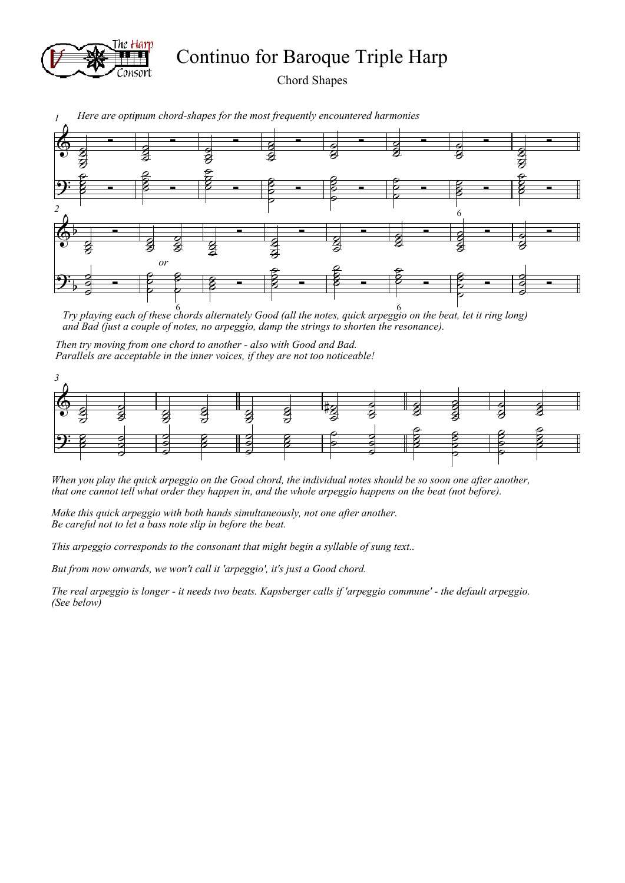

Continuo for Baroque Triple Harp

Chord Shapes



*1 1 Here are optimum chord-shapes for the most frequently encountered harmonies*

*Try playing each of these chords alternately Good (all the notes, quick arpeggio on the beat, let it ring long)*  6 6 *and Bad (just a couple of notes, no arpeggio, damp the strings to shorten the resonance).* 

*Then try moving from one chord to another - also with Good and Bad. Parallels are acceptable in the inner voices, if they are not too noticeable!*



*When you play the quick arpeggio on the Good chord, the individual notes should be so soon one after another, that one cannot tell what order they happen in, and the whole arpeggio happens on the beat (not before).* 

*Make this quick arpeggio with both hands simultaneously, not one after another. Be careful not to let a bass note slip in before the beat.*

*This arpeggio corresponds to the consonant that might begin a syllable of sung text..*

*But from now onwards, we won't call it 'arpeggio', it's just a Good chord.*

*The real arpeggio is longer - it needs two beats. Kapsberger calls if 'arpeggio commune' - the default arpeggio. (See below)*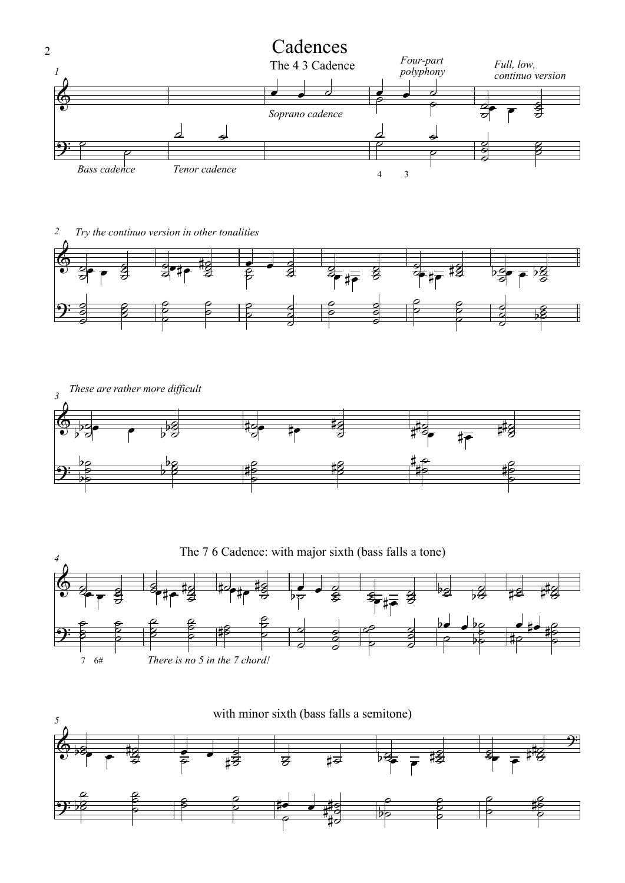

*2 Try the continuo version in other tonalities*







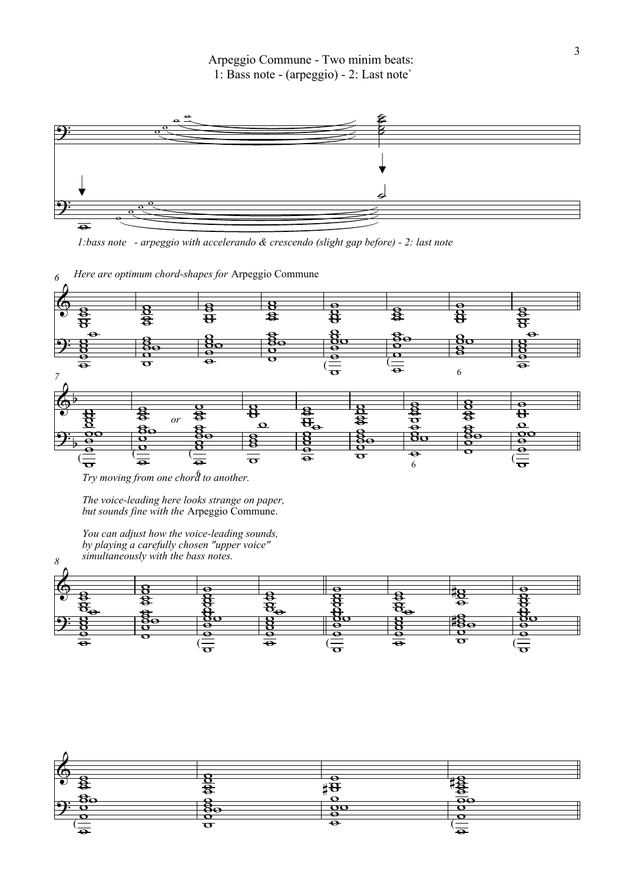

*1:bass note - arpeggio with accelerando & crescendo (slight gap before) - 2: last note*



6 *Try moving from one chord to another.*

*8*

*The voice-leading here looks strange on paper, but sounds fine with the* Arpeggio Commune.

*You can adjust how the voice-leading sounds, by playing a carefully chosen "upper voice" simultaneously with the bass notes.*